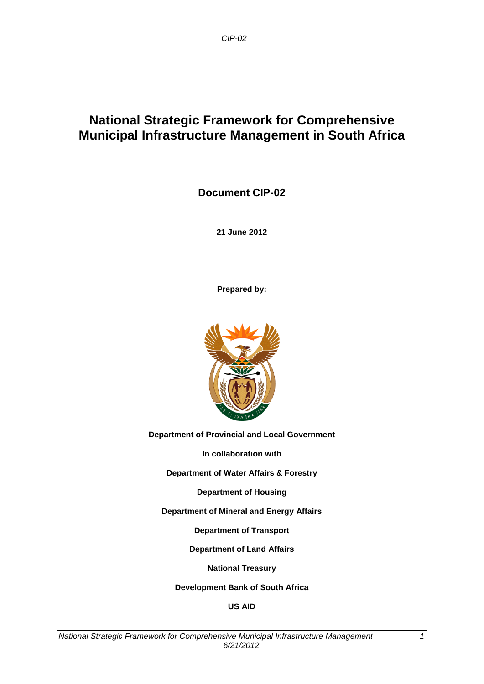## **National Strategic Framework for Comprehensive Municipal Infrastructure Management in South Africa**

**Document CIP-02**

**21 June 2012**

**Prepared by:**



**Department of Provincial and Local Government**

**In collaboration with**

**Department of Water Affairs & Forestry**

**Department of Housing**

**Department of Mineral and Energy Affairs**

**Department of Transport**

**Department of Land Affairs**

**National Treasury**

**Development Bank of South Africa**

**US AID**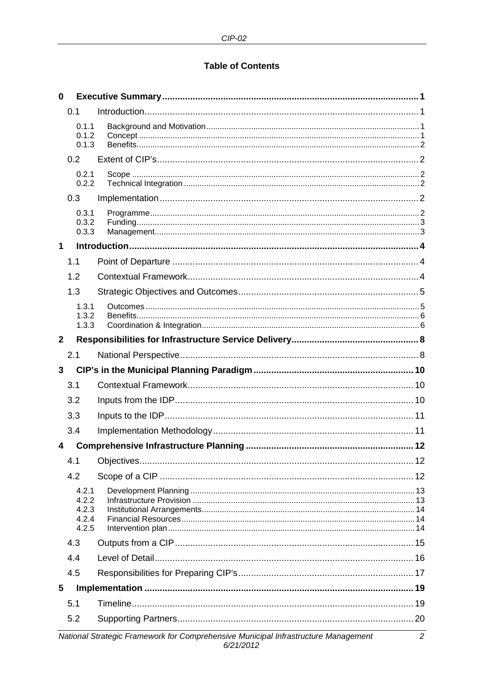#### **Table of Contents**

| $\mathbf 0$  |                                                                                                      |  |  |  |  |  |  |  |
|--------------|------------------------------------------------------------------------------------------------------|--|--|--|--|--|--|--|
|              | 0.1                                                                                                  |  |  |  |  |  |  |  |
|              | 0.1.1<br>0.1.2<br>0.1.3                                                                              |  |  |  |  |  |  |  |
|              | 0.2                                                                                                  |  |  |  |  |  |  |  |
|              | 0.2.1<br>0.2.2                                                                                       |  |  |  |  |  |  |  |
|              | 0.3                                                                                                  |  |  |  |  |  |  |  |
|              | 0.3.1<br>0.3.2<br>0.3.3                                                                              |  |  |  |  |  |  |  |
| 1            |                                                                                                      |  |  |  |  |  |  |  |
|              | 1.1                                                                                                  |  |  |  |  |  |  |  |
|              | 1.2                                                                                                  |  |  |  |  |  |  |  |
|              | 1.3                                                                                                  |  |  |  |  |  |  |  |
|              | 1.3.1<br>1.3.2                                                                                       |  |  |  |  |  |  |  |
|              | 1.3.3                                                                                                |  |  |  |  |  |  |  |
| $\mathbf{2}$ |                                                                                                      |  |  |  |  |  |  |  |
|              | 2.1                                                                                                  |  |  |  |  |  |  |  |
| $\mathbf{3}$ |                                                                                                      |  |  |  |  |  |  |  |
|              | 3.1                                                                                                  |  |  |  |  |  |  |  |
|              | 3.2                                                                                                  |  |  |  |  |  |  |  |
|              | 3.3                                                                                                  |  |  |  |  |  |  |  |
|              | 3.4                                                                                                  |  |  |  |  |  |  |  |
| 4            |                                                                                                      |  |  |  |  |  |  |  |
|              | 4.1                                                                                                  |  |  |  |  |  |  |  |
|              | 4.2                                                                                                  |  |  |  |  |  |  |  |
|              | 4.2.1<br>4.2.2<br>4.2.3<br>4.2.4<br>4.2.5                                                            |  |  |  |  |  |  |  |
|              | 4.3                                                                                                  |  |  |  |  |  |  |  |
|              | 4.4                                                                                                  |  |  |  |  |  |  |  |
|              | 4.5                                                                                                  |  |  |  |  |  |  |  |
| 5            |                                                                                                      |  |  |  |  |  |  |  |
|              | 5.1                                                                                                  |  |  |  |  |  |  |  |
|              | 5.2                                                                                                  |  |  |  |  |  |  |  |
|              | National Strategic Framework for Comprehensive Municipal Infrastructure Management<br>2<br>6/21/2012 |  |  |  |  |  |  |  |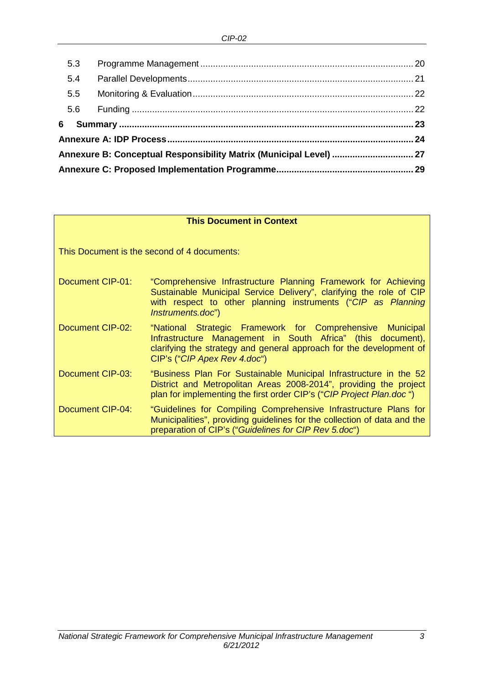| 5.3 |                                                                    |  |  |  |  |  |  |  |
|-----|--------------------------------------------------------------------|--|--|--|--|--|--|--|
| 5.4 |                                                                    |  |  |  |  |  |  |  |
| 5.5 |                                                                    |  |  |  |  |  |  |  |
| 5.6 |                                                                    |  |  |  |  |  |  |  |
| 6   |                                                                    |  |  |  |  |  |  |  |
|     |                                                                    |  |  |  |  |  |  |  |
|     | Annexure B: Conceptual Responsibility Matrix (Municipal Level)  27 |  |  |  |  |  |  |  |
|     |                                                                    |  |  |  |  |  |  |  |

#### **This Document in Context**

This Document is the second of 4 documents:

- Document CIP-01: "Comprehensive Infrastructure Planning Framework for Achieving Sustainable Municipal Service Delivery", clarifying the role of CIP with respect to other planning instruments ("*CIP as Planning Instruments.doc*")
- Document CIP-02: "National Strategic Framework for Comprehensive Municipal Infrastructure Management in South Africa" (this document), clarifying the strategy and general approach for the development of CIP's ("*CIP Apex Rev 4.doc*")
- Document CIP-03: "Business Plan For Sustainable Municipal Infrastructure in the 52 District and Metropolitan Areas 2008-2014", providing the project plan for implementing the first order CIP's ("*CIP Project Plan.doc* ")
- Document CIP-04: "Guidelines for Compiling Comprehensive Infrastructure Plans for Municipalities", providing guidelines for the collection of data and the preparation of CIP's ("*Guidelines for CIP Rev 5.doc*")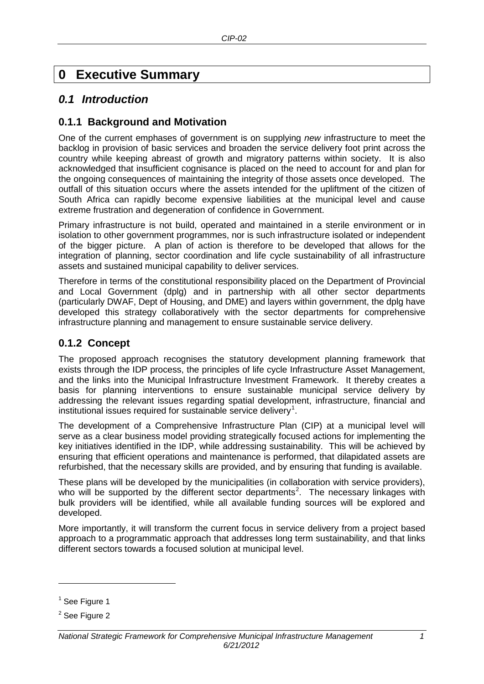## <span id="page-3-0"></span>**0 Executive Summary**

## <span id="page-3-1"></span>*0.1 Introduction*

#### <span id="page-3-2"></span>**0.1.1 Background and Motivation**

One of the current emphases of government is on supplying *new* infrastructure to meet the backlog in provision of basic services and broaden the service delivery foot print across the country while keeping abreast of growth and migratory patterns within society. It is also acknowledged that insufficient cognisance is placed on the need to account for and plan for the ongoing consequences of maintaining the integrity of those assets once developed. The outfall of this situation occurs where the assets intended for the upliftment of the citizen of South Africa can rapidly become expensive liabilities at the municipal level and cause extreme frustration and degeneration of confidence in Government.

Primary infrastructure is not build, operated and maintained in a sterile environment or in isolation to other government programmes, nor is such infrastructure isolated or independent of the bigger picture. A plan of action is therefore to be developed that allows for the integration of planning, sector coordination and life cycle sustainability of all infrastructure assets and sustained municipal capability to deliver services.

Therefore in terms of the constitutional responsibility placed on the Department of Provincial and Local Government (dplg) and in partnership with all other sector departments (particularly DWAF, Dept of Housing, and DME) and layers within government, the dplg have developed this strategy collaboratively with the sector departments for comprehensive infrastructure planning and management to ensure sustainable service delivery.

#### <span id="page-3-3"></span>**0.1.2 Concept**

The proposed approach recognises the statutory development planning framework that exists through the IDP process, the principles of life cycle Infrastructure Asset Management, and the links into the Municipal Infrastructure Investment Framework. It thereby creates a basis for planning interventions to ensure sustainable municipal service delivery by addressing the relevant issues regarding spatial development, infrastructure, financial and institutional issues required for sustainable service delivery<sup>[1](#page-3-4)</sup>.

The development of a Comprehensive Infrastructure Plan (CIP) at a municipal level will serve as a clear business model providing strategically focused actions for implementing the key initiatives identified in the IDP, while addressing sustainability. This will be achieved by ensuring that efficient operations and maintenance is performed, that dilapidated assets are refurbished, that the necessary skills are provided, and by ensuring that funding is available.

These plans will be developed by the municipalities (in collaboration with service providers), who will be supported by the different sector departments<sup>[2](#page-3-5)</sup>. The necessary linkages with bulk providers will be identified, while all available funding sources will be explored and developed.

More importantly, it will transform the current focus in service delivery from a project based approach to a programmatic approach that addresses long term sustainability, and that links different sectors towards a focused solution at municipal level.

-

<span id="page-3-4"></span> $<sup>1</sup>$  See Figure 1</sup>

<span id="page-3-5"></span><sup>&</sup>lt;sup>2</sup> See Figure 2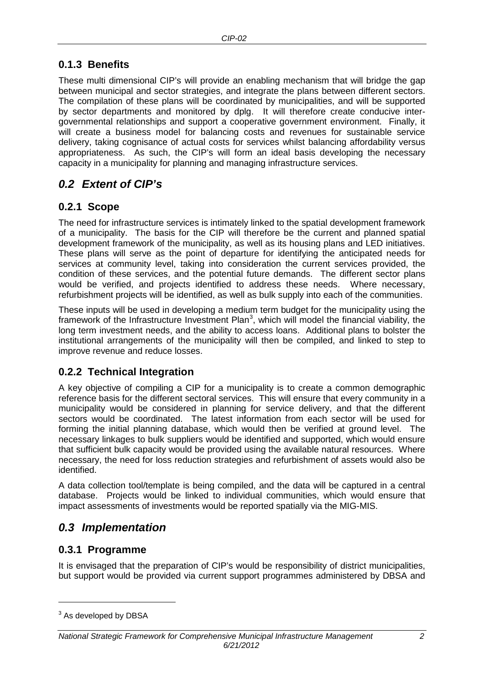### <span id="page-4-0"></span>**0.1.3 Benefits**

These multi dimensional CIP's will provide an enabling mechanism that will bridge the gap between municipal and sector strategies, and integrate the plans between different sectors. The compilation of these plans will be coordinated by municipalities, and will be supported by sector departments and monitored by dplg. It will therefore create conducive intergovernmental relationships and support a cooperative government environment. Finally, it will create a business model for balancing costs and revenues for sustainable service delivery, taking cognisance of actual costs for services whilst balancing affordability versus appropriateness. As such, the CIP's will form an ideal basis developing the necessary capacity in a municipality for planning and managing infrastructure services.

## <span id="page-4-1"></span>*0.2 Extent of CIP's*

#### <span id="page-4-2"></span>**0.2.1 Scope**

The need for infrastructure services is intimately linked to the spatial development framework of a municipality. The basis for the CIP will therefore be the current and planned spatial development framework of the municipality, as well as its housing plans and LED initiatives. These plans will serve as the point of departure for identifying the anticipated needs for services at community level, taking into consideration the current services provided, the condition of these services, and the potential future demands. The different sector plans would be verified, and projects identified to address these needs. Where necessary, refurbishment projects will be identified, as well as bulk supply into each of the communities.

These inputs will be used in developing a medium term budget for the municipality using the framework of the Infrastructure Investment Plan<sup>[3](#page-4-6)</sup>, which will model the financial viability, the long term investment needs, and the ability to access loans. Additional plans to bolster the institutional arrangements of the municipality will then be compiled, and linked to step to improve revenue and reduce losses.

### <span id="page-4-3"></span>**0.2.2 Technical Integration**

A key objective of compiling a CIP for a municipality is to create a common demographic reference basis for the different sectoral services. This will ensure that every community in a municipality would be considered in planning for service delivery, and that the different sectors would be coordinated. The latest information from each sector will be used for forming the initial planning database, which would then be verified at ground level. The necessary linkages to bulk suppliers would be identified and supported, which would ensure that sufficient bulk capacity would be provided using the available natural resources. Where necessary, the need for loss reduction strategies and refurbishment of assets would also be identified.

A data collection tool/template is being compiled, and the data will be captured in a central database. Projects would be linked to individual communities, which would ensure that impact assessments of investments would be reported spatially via the MIG-MIS.

### <span id="page-4-4"></span>*0.3 Implementation*

#### <span id="page-4-5"></span>**0.3.1 Programme**

It is envisaged that the preparation of CIP's would be responsibility of district municipalities, but support would be provided via current support programmes administered by DBSA and

-

<span id="page-4-6"></span> $3$  As developed by DBSA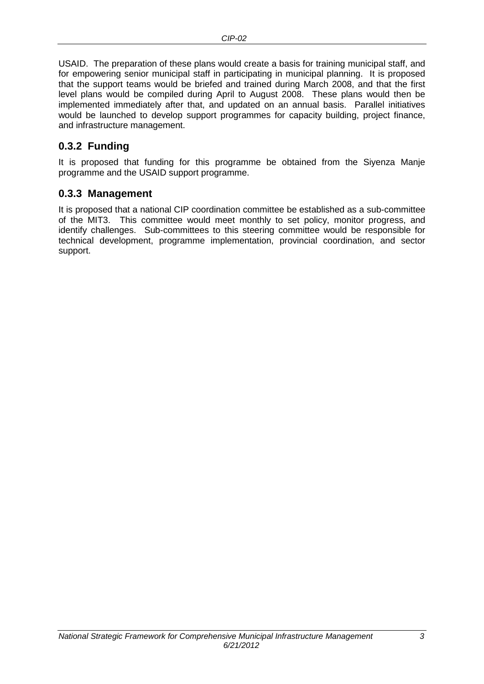USAID. The preparation of these plans would create a basis for training municipal staff, and for empowering senior municipal staff in participating in municipal planning. It is proposed that the support teams would be briefed and trained during March 2008, and that the first level plans would be compiled during April to August 2008. These plans would then be implemented immediately after that, and updated on an annual basis. Parallel initiatives would be launched to develop support programmes for capacity building, project finance, and infrastructure management.

### <span id="page-5-0"></span>**0.3.2 Funding**

It is proposed that funding for this programme be obtained from the Siyenza Manje programme and the USAID support programme.

#### <span id="page-5-1"></span>**0.3.3 Management**

It is proposed that a national CIP coordination committee be established as a sub-committee of the MIT3. This committee would meet monthly to set policy, monitor progress, and identify challenges. Sub-committees to this steering committee would be responsible for technical development, programme implementation, provincial coordination, and sector support.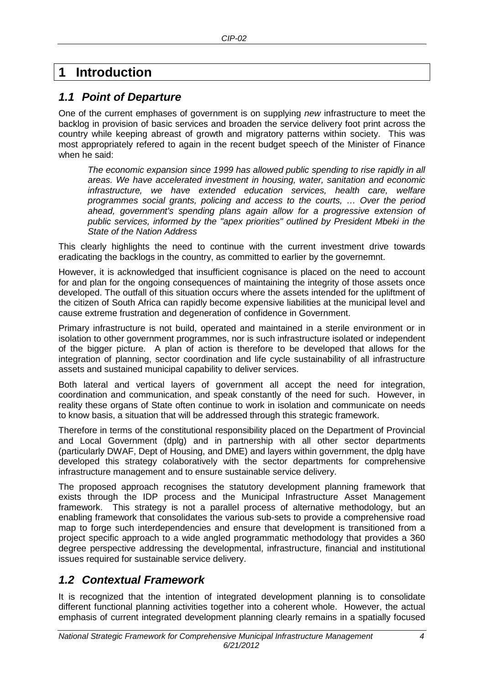## <span id="page-6-0"></span>**1 Introduction**

## <span id="page-6-1"></span>*1.1 Point of Departure*

One of the current emphases of government is on supplying *new* infrastructure to meet the backlog in provision of basic services and broaden the service delivery foot print across the country while keeping abreast of growth and migratory patterns within society. This was most appropriately refered to again in the recent budget speech of the Minister of Finance when he said:

*The economic expansion since 1999 has allowed public spending to rise rapidly in all areas. We have accelerated investment in housing, water, sanitation and economic infrastructure, we have extended education services, health care, welfare programmes social grants, policing and access to the courts, … Over the period ahead, government's spending plans again allow for a progressive extension of public services, informed by the "apex priorities" outlined by President Mbeki in the State of the Nation Address*

This clearly highlights the need to continue with the current investment drive towards eradicating the backlogs in the country, as committed to earlier by the governemnt.

However, it is acknowledged that insufficient cognisance is placed on the need to account for and plan for the ongoing consequences of maintaining the integrity of those assets once developed. The outfall of this situation occurs where the assets intended for the upliftment of the citizen of South Africa can rapidly become expensive liabilities at the municipal level and cause extreme frustration and degeneration of confidence in Government.

Primary infrastructure is not build, operated and maintained in a sterile environment or in isolation to other government programmes, nor is such infrastructure isolated or independent of the bigger picture. A plan of action is therefore to be developed that allows for the integration of planning, sector coordination and life cycle sustainability of all infrastructure assets and sustained municipal capability to deliver services.

Both lateral and vertical layers of government all accept the need for integration, coordination and communication, and speak constantly of the need for such. However, in reality these organs of State often continue to work in isolation and communicate on needs to know basis, a situation that will be addressed through this strategic framework.

Therefore in terms of the constitutional responsibility placed on the Department of Provincial and Local Government (dplg) and in partnership with all other sector departments (particularly DWAF, Dept of Housing, and DME) and layers within government, the dplg have developed this strategy colaboratively with the sector departments for comprehensive infrastructure management and to ensure sustainable service delivery.

The proposed approach recognises the statutory development planning framework that exists through the IDP process and the Municipal Infrastructure Asset Management framework. This strategy is not a parallel process of alternative methodology, but an enabling framework that consolidates the various sub-sets to provide a comprehensive road map to forge such interdependencies and ensure that development is transitioned from a project specific approach to a wide angled programmatic methodology that provides a 360 degree perspective addressing the developmental, infrastructure, financial and institutional issues required for sustainable service delivery.

## <span id="page-6-2"></span>*1.2 Contextual Framework*

It is recognized that the intention of integrated development planning is to consolidate different functional planning activities together into a coherent whole. However, the actual emphasis of current integrated development planning clearly remains in a spatially focused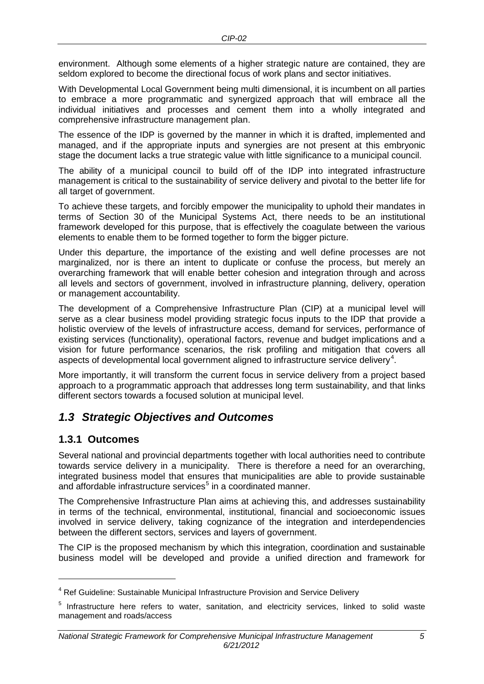environment. Although some elements of a higher strategic nature are contained, they are seldom explored to become the directional focus of work plans and sector initiatives.

With Developmental Local Government being multi dimensional, it is incumbent on all parties to embrace a more programmatic and synergized approach that will embrace all the individual initiatives and processes and cement them into a wholly integrated and comprehensive infrastructure management plan.

The essence of the IDP is governed by the manner in which it is drafted, implemented and managed, and if the appropriate inputs and synergies are not present at this embryonic stage the document lacks a true strategic value with little significance to a municipal council.

The ability of a municipal council to build off of the IDP into integrated infrastructure management is critical to the sustainability of service delivery and pivotal to the better life for all target of government.

To achieve these targets, and forcibly empower the municipality to uphold their mandates in terms of Section 30 of the Municipal Systems Act, there needs to be an institutional framework developed for this purpose, that is effectively the coagulate between the various elements to enable them to be formed together to form the bigger picture.

Under this departure, the importance of the existing and well define processes are not marginalized, nor is there an intent to duplicate or confuse the process, but merely an overarching framework that will enable better cohesion and integration through and across all levels and sectors of government, involved in infrastructure planning, delivery, operation or management accountability.

The development of a Comprehensive Infrastructure Plan (CIP) at a municipal level will serve as a clear business model providing strategic focus inputs to the IDP that provide a holistic overview of the levels of infrastructure access, demand for services, performance of existing services (functionality), operational factors, revenue and budget implications and a vision for future performance scenarios, the risk profiling and mitigation that covers all aspects of developmental local government aligned to infrastructure service delivery<sup>[4](#page-7-2)</sup>.

More importantly, it will transform the current focus in service delivery from a project based approach to a programmatic approach that addresses long term sustainability, and that links different sectors towards a focused solution at municipal level.

## <span id="page-7-0"></span>*1.3 Strategic Objectives and Outcomes*

#### <span id="page-7-1"></span>**1.3.1 Outcomes**

-

Several national and provincial departments together with local authorities need to contribute towards service delivery in a municipality. There is therefore a need for an overarching, integrated business model that ensures that municipalities are able to provide sustainable and affordable infrastructure services<sup>[5](#page-7-3)</sup> in a coordinated manner.

The Comprehensive Infrastructure Plan aims at achieving this, and addresses sustainability in terms of the technical, environmental, institutional, financial and socioeconomic issues involved in service delivery, taking cognizance of the integration and interdependencies between the different sectors, services and layers of government.

The CIP is the proposed mechanism by which this integration, coordination and sustainable business model will be developed and provide a unified direction and framework for

<sup>&</sup>lt;sup>4</sup> Ref Guideline: Sustainable Municipal Infrastructure Provision and Service Delivery

<span id="page-7-3"></span><span id="page-7-2"></span><sup>&</sup>lt;sup>5</sup> Infrastructure here refers to water, sanitation, and electricity services, linked to solid waste management and roads/access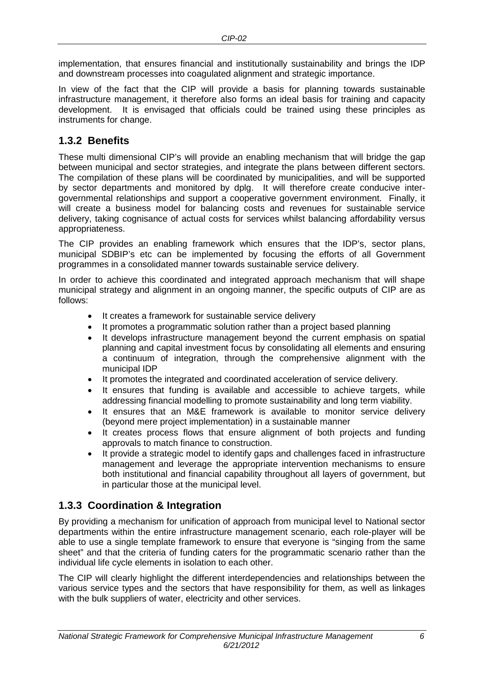implementation, that ensures financial and institutionally sustainability and brings the IDP and downstream processes into coagulated alignment and strategic importance.

In view of the fact that the CIP will provide a basis for planning towards sustainable infrastructure management, it therefore also forms an ideal basis for training and capacity development. It is envisaged that officials could be trained using these principles as instruments for change.

#### <span id="page-8-0"></span>**1.3.2 Benefits**

These multi dimensional CIP's will provide an enabling mechanism that will bridge the gap between municipal and sector strategies, and integrate the plans between different sectors. The compilation of these plans will be coordinated by municipalities, and will be supported by sector departments and monitored by dplg. It will therefore create conducive intergovernmental relationships and support a cooperative government environment. Finally, it will create a business model for balancing costs and revenues for sustainable service delivery, taking cognisance of actual costs for services whilst balancing affordability versus appropriateness.

The CIP provides an enabling framework which ensures that the IDP's, sector plans, municipal SDBIP's etc can be implemented by focusing the efforts of all Government programmes in a consolidated manner towards sustainable service delivery.

In order to achieve this coordinated and integrated approach mechanism that will shape municipal strategy and alignment in an ongoing manner, the specific outputs of CIP are as follows:

- It creates a framework for sustainable service delivery
- It promotes a programmatic solution rather than a project based planning
- It develops infrastructure management beyond the current emphasis on spatial planning and capital investment focus by consolidating all elements and ensuring a continuum of integration, through the comprehensive alignment with the municipal IDP
- It promotes the integrated and coordinated acceleration of service delivery.
- It ensures that funding is available and accessible to achieve targets, while addressing financial modelling to promote sustainability and long term viability.
- It ensures that an M&E framework is available to monitor service delivery (beyond mere project implementation) in a sustainable manner
- It creates process flows that ensure alignment of both projects and funding approvals to match finance to construction.
- It provide a strategic model to identify gaps and challenges faced in infrastructure management and leverage the appropriate intervention mechanisms to ensure both institutional and financial capability throughout all layers of government, but in particular those at the municipal level.

### <span id="page-8-1"></span>**1.3.3 Coordination & Integration**

By providing a mechanism for unification of approach from municipal level to National sector departments within the entire infrastructure management scenario, each role-player will be able to use a single template framework to ensure that everyone is "singing from the same sheet" and that the criteria of funding caters for the programmatic scenario rather than the individual life cycle elements in isolation to each other.

The CIP will clearly highlight the different interdependencies and relationships between the various service types and the sectors that have responsibility for them, as well as linkages with the bulk suppliers of water, electricity and other services.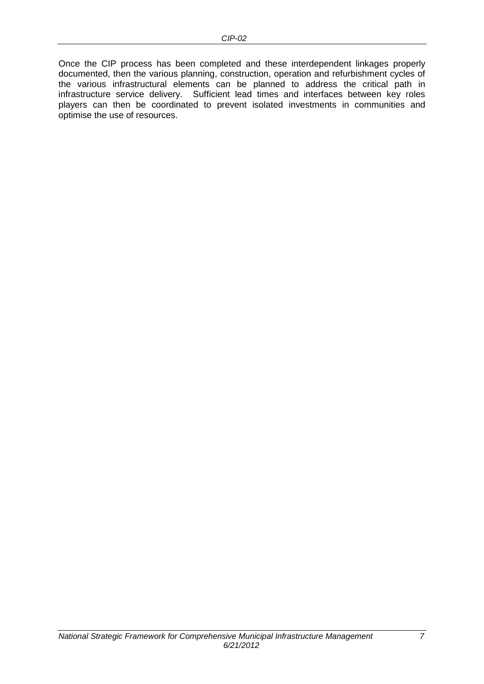Once the CIP process has been completed and these interdependent linkages properly documented, then the various planning, construction, operation and refurbishment cycles of the various infrastructural elements can be planned to address the critical path in infrastructure service delivery. Sufficient lead times and interfaces between key roles players can then be coordinated to prevent isolated investments in communities and optimise the use of resources.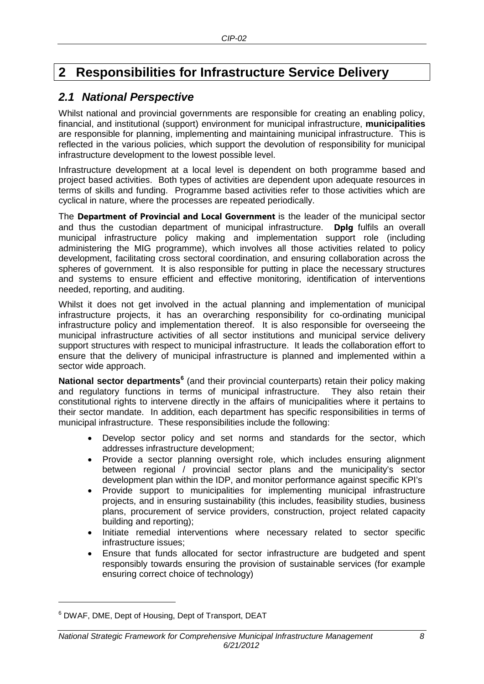## <span id="page-10-0"></span>**2 Responsibilities for Infrastructure Service Delivery**

## <span id="page-10-1"></span>*2.1 National Perspective*

Whilst national and provincial governments are responsible for creating an enabling policy, financial, and institutional (support) environment for municipal infrastructure, **municipalities** are responsible for planning, implementing and maintaining municipal infrastructure. This is reflected in the various policies, which support the devolution of responsibility for municipal infrastructure development to the lowest possible level.

Infrastructure development at a local level is dependent on both programme based and project based activities. Both types of activities are dependent upon adequate resources in terms of skills and funding. Programme based activities refer to those activities which are cyclical in nature, where the processes are repeated periodically.

The **Department of Provincial and Local Government** is the leader of the municipal sector and thus the custodian department of municipal infrastructure. **Dplg** fulfils an overall municipal infrastructure policy making and implementation support role (including administering the MIG programme), which involves all those activities related to policy development, facilitating cross sectoral coordination, and ensuring collaboration across the spheres of government. It is also responsible for putting in place the necessary structures and systems to ensure efficient and effective monitoring, identification of interventions needed, reporting, and auditing.

Whilst it does not get involved in the actual planning and implementation of municipal infrastructure projects, it has an overarching responsibility for co-ordinating municipal infrastructure policy and implementation thereof. It is also responsible for overseeing the municipal infrastructure activities of all sector institutions and municipal service delivery support structures with respect to municipal infrastructure. It leads the collaboration effort to ensure that the delivery of municipal infrastructure is planned and implemented within a sector wide approach.

**National sector departments[6](#page-10-2)** (and their provincial counterparts) retain their policy making and regulatory functions in terms of municipal infrastructure. They also retain their constitutional rights to intervene directly in the affairs of municipalities where it pertains to their sector mandate. In addition, each department has specific responsibilities in terms of municipal infrastructure. These responsibilities include the following:

- Develop sector policy and set norms and standards for the sector, which addresses infrastructure development;
- Provide a sector planning oversight role, which includes ensuring alignment between regional / provincial sector plans and the municipality's sector development plan within the IDP, and monitor performance against specific KPI's
- Provide support to municipalities for implementing municipal infrastructure projects, and in ensuring sustainability (this includes, feasibility studies, business plans, procurement of service providers, construction, project related capacity building and reporting);
- Initiate remedial interventions where necessary related to sector specific infrastructure issues;
- Ensure that funds allocated for sector infrastructure are budgeted and spent responsibly towards ensuring the provision of sustainable services (for example ensuring correct choice of technology)

-

<span id="page-10-2"></span><sup>6</sup> DWAF, DME, Dept of Housing, Dept of Transport, DEAT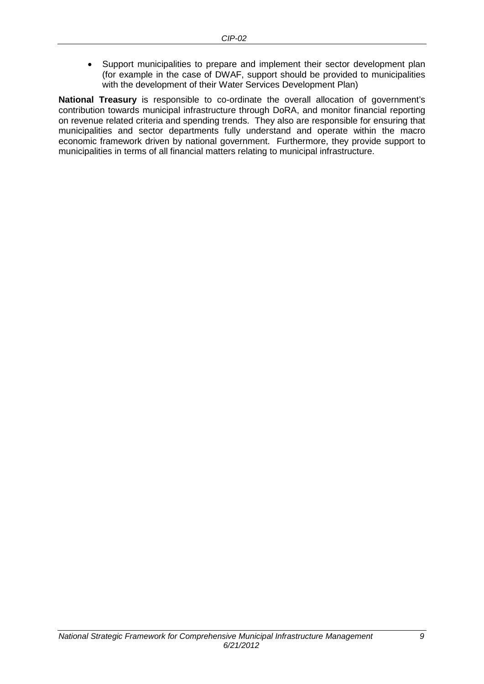• Support municipalities to prepare and implement their sector development plan (for example in the case of DWAF, support should be provided to municipalities with the development of their Water Services Development Plan)

**National Treasury** is responsible to co-ordinate the overall allocation of government's contribution towards municipal infrastructure through DoRA, and monitor financial reporting on revenue related criteria and spending trends. They also are responsible for ensuring that municipalities and sector departments fully understand and operate within the macro economic framework driven by national government. Furthermore, they provide support to municipalities in terms of all financial matters relating to municipal infrastructure.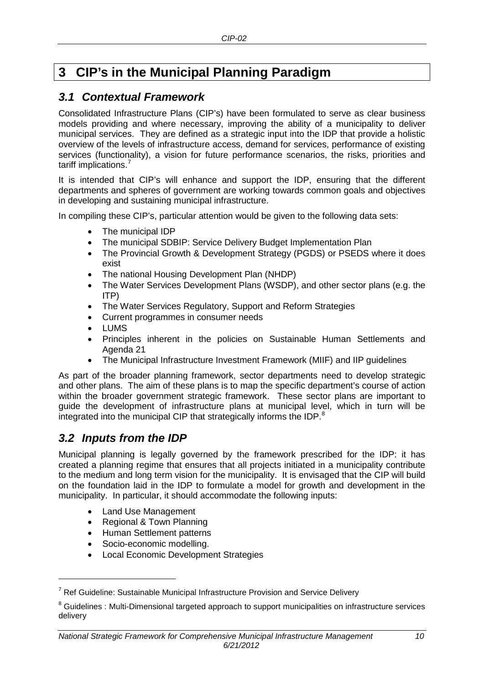## <span id="page-12-0"></span>**3 CIP's in the Municipal Planning Paradigm**

### <span id="page-12-1"></span>*3.1 Contextual Framework*

Consolidated Infrastructure Plans (CIP's) have been formulated to serve as clear business models providing and where necessary, improving the ability of a municipality to deliver municipal services. They are defined as a strategic input into the IDP that provide a holistic overview of the levels of infrastructure access, demand for services, performance of existing services (functionality), a vision for future performance scenarios, the risks, priorities and tariff implications.<sup>[7](#page-12-3)</sup>

It is intended that CIP's will enhance and support the IDP, ensuring that the different departments and spheres of government are working towards common goals and objectives in developing and sustaining municipal infrastructure.

In compiling these CIP's, particular attention would be given to the following data sets:

- The municipal IDP
- The municipal SDBIP: Service Delivery Budget Implementation Plan
- The Provincial Growth & Development Strategy (PGDS) or PSEDS where it does exist
- The national Housing Development Plan (NHDP)
- The Water Services Development Plans (WSDP), and other sector plans (e.g. the ITP)
- The Water Services Regulatory, Support and Reform Strategies
- Current programmes in consumer needs
- LUMS
- Principles inherent in the policies on Sustainable Human Settlements and Agenda 21
- The Municipal Infrastructure Investment Framework (MIIF) and IIP guidelines

As part of the broader planning framework, sector departments need to develop strategic and other plans. The aim of these plans is to map the specific department's course of action within the broader government strategic framework. These sector plans are important to guide the development of infrastructure plans at municipal level, which in turn will be integrated into the municipal CIP that strategically informs the IDP.<sup>[8](#page-12-4)</sup>

## <span id="page-12-2"></span>*3.2 Inputs from the IDP*

-

Municipal planning is legally governed by the framework prescribed for the IDP: it has created a planning regime that ensures that all projects initiated in a municipality contribute to the medium and long term vision for the municipality. It is envisaged that the CIP will build on the foundation laid in the IDP to formulate a model for growth and development in the municipality. In particular, it should accommodate the following inputs:

- Land Use Management
- Regional & Town Planning
- Human Settlement patterns
- Socio-economic modelling.
- Local Economic Development Strategies

 $7$  Ref Guideline: Sustainable Municipal Infrastructure Provision and Service Delivery

<span id="page-12-4"></span><span id="page-12-3"></span><sup>&</sup>lt;sup>8</sup> Guidelines : Multi-Dimensional targeted approach to support municipalities on infrastructure services delivery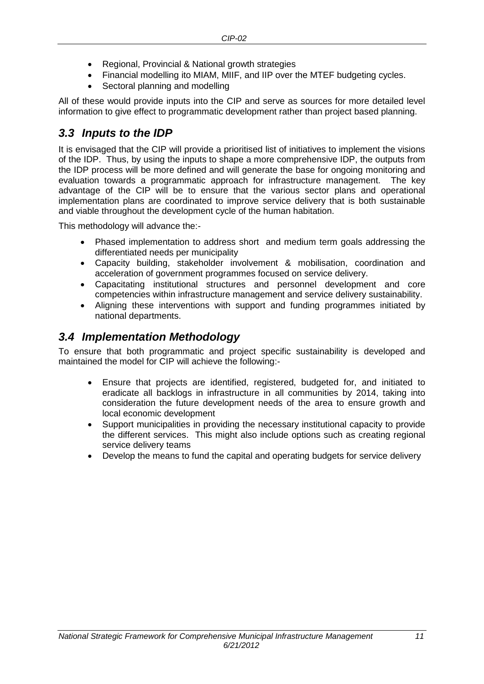- Regional, Provincial & National growth strategies
- Financial modelling ito MIAM, MIIF, and IIP over the MTEF budgeting cycles.
- Sectoral planning and modelling

All of these would provide inputs into the CIP and serve as sources for more detailed level information to give effect to programmatic development rather than project based planning.

### <span id="page-13-0"></span>*3.3 Inputs to the IDP*

It is envisaged that the CIP will provide a prioritised list of initiatives to implement the visions of the IDP. Thus, by using the inputs to shape a more comprehensive IDP, the outputs from the IDP process will be more defined and will generate the base for ongoing monitoring and evaluation towards a programmatic approach for infrastructure management. The key advantage of the CIP will be to ensure that the various sector plans and operational implementation plans are coordinated to improve service delivery that is both sustainable and viable throughout the development cycle of the human habitation.

This methodology will advance the:-

- Phased implementation to address short and medium term goals addressing the differentiated needs per municipality
- Capacity building, stakeholder involvement & mobilisation, coordination and acceleration of government programmes focused on service delivery.
- Capacitating institutional structures and personnel development and core competencies within infrastructure management and service delivery sustainability.
- Aligning these interventions with support and funding programmes initiated by national departments.

### <span id="page-13-1"></span>*3.4 Implementation Methodology*

To ensure that both programmatic and project specific sustainability is developed and maintained the model for CIP will achieve the following:-

- Ensure that projects are identified, registered, budgeted for, and initiated to eradicate all backlogs in infrastructure in all communities by 2014, taking into consideration the future development needs of the area to ensure growth and local economic development
- Support municipalities in providing the necessary institutional capacity to provide the different services. This might also include options such as creating regional service delivery teams
- Develop the means to fund the capital and operating budgets for service delivery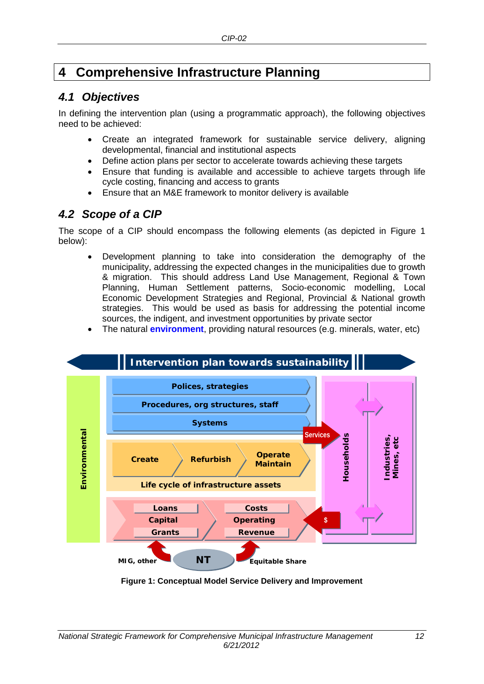## <span id="page-14-0"></span>**4 Comprehensive Infrastructure Planning**

## <span id="page-14-1"></span>*4.1 Objectives*

In defining the intervention plan (using a programmatic approach), the following objectives need to be achieved:

- Create an integrated framework for sustainable service delivery, aligning developmental, financial and institutional aspects
- Define action plans per sector to accelerate towards achieving these targets
- Ensure that funding is available and accessible to achieve targets through life cycle costing, financing and access to grants
- Ensure that an M&E framework to monitor delivery is available

## <span id="page-14-2"></span>*4.2 Scope of a CIP*

The scope of a CIP should encompass the following elements (as depicted in [Figure 1](#page-14-3) below):

- Development planning to take into consideration the demography of the municipality, addressing the expected changes in the municipalities due to growth & migration. This should address Land Use Management, Regional & Town Planning, Human Settlement patterns, Socio-economic modelling, Local Economic Development Strategies and Regional, Provincial & National growth strategies. This would be used as basis for addressing the potential income sources, the indigent, and investment opportunities by private sector
- The natural **environment**, providing natural resources (e.g. minerals, water, etc)



<span id="page-14-3"></span>**Figure 1: Conceptual Model Service Delivery and Improvement**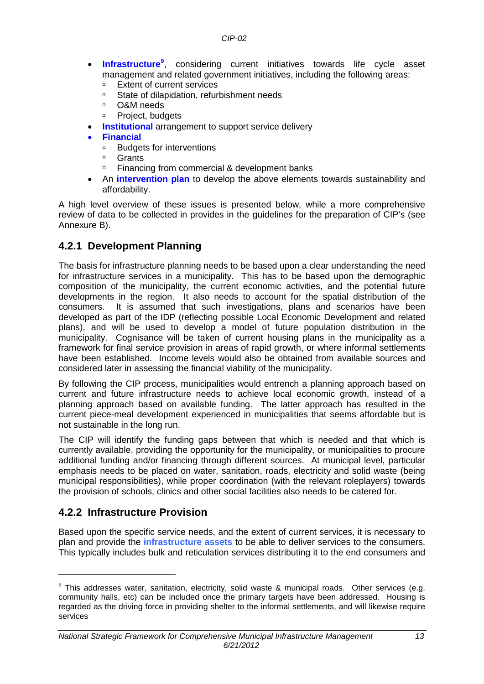- **Infrastructure[9](#page-15-2)** , considering current initiatives towards life cycle asset management and related government initiatives, including the following areas:<br>Extent of current services
	- **Extent of current services**<br> **Extent of dilanidation refur**
	- □ State of dilapidation, refurbishment needs<br>□ O&M needs
	- O&M needs
	- <sup>D</sup> Project, budgets
- **Institutional** arrangement to support service delivery
- **Financial**
	- **Budgets for interventions**<br>**Budgets**
	- **Grants**
	- □ Financing from commercial & development banks
- An **intervention plan** to develop the above elements towards sustainability and affordability.

A high level overview of these issues is presented below, while a more comprehensive review of data to be collected in provides in the guidelines for the preparation of CIP's (see Annexure B).

#### <span id="page-15-0"></span>**4.2.1 Development Planning**

The basis for infrastructure planning needs to be based upon a clear understanding the need for infrastructure services in a municipality. This has to be based upon the demographic composition of the municipality, the current economic activities, and the potential future developments in the region. It also needs to account for the spatial distribution of the consumers. It is assumed that such investigations, plans and scenarios have been developed as part of the IDP (reflecting possible Local Economic Development and related plans), and will be used to develop a model of future population distribution in the municipality. Cognisance will be taken of current housing plans in the municipality as a framework for final service provision in areas of rapid growth, or where informal settlements have been established. Income levels would also be obtained from available sources and considered later in assessing the financial viability of the municipality.

By following the CIP process, municipalities would entrench a planning approach based on current and future infrastructure needs to achieve local economic growth, instead of a planning approach based on available funding. The latter approach has resulted in the current piece-meal development experienced in municipalities that seems affordable but is not sustainable in the long run.

The CIP will identify the funding gaps between that which is needed and that which is currently available, providing the opportunity for the municipality, or municipalities to procure additional funding and/or financing through different sources. At municipal level, particular emphasis needs to be placed on water, sanitation, roads, electricity and solid waste (being municipal responsibilities), while proper coordination (with the relevant roleplayers) towards the provision of schools, clinics and other social facilities also needs to be catered for.

### <span id="page-15-1"></span>**4.2.2 Infrastructure Provision**

-

Based upon the specific service needs, and the extent of current services, it is necessary to plan and provide the **infrastructure assets** to be able to deliver services to the consumers. This typically includes bulk and reticulation services distributing it to the end consumers and

<span id="page-15-2"></span> $9$  This addresses water, sanitation, electricity, solid waste & municipal roads. Other services (e.g. community halls, etc) can be included once the primary targets have been addressed. Housing is regarded as the driving force in providing shelter to the informal settlements, and will likewise require services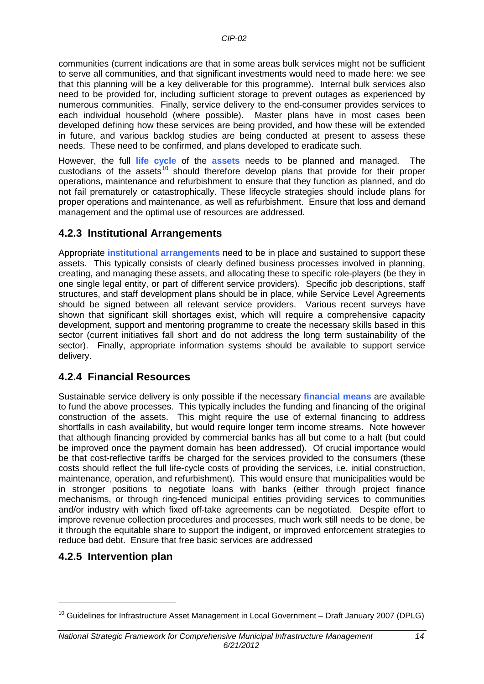communities (current indications are that in some areas bulk services might not be sufficient to serve all communities, and that significant investments would need to made here: we see that this planning will be a key deliverable for this programme). Internal bulk services also need to be provided for, including sufficient storage to prevent outages as experienced by numerous communities. Finally, service delivery to the end-consumer provides services to each individual household (where possible). Master plans have in most cases been developed defining how these services are being provided, and how these will be extended in future, and various backlog studies are being conducted at present to assess these needs. These need to be confirmed, and plans developed to eradicate such.

However, the full **life cycle** of the **assets** needs to be planned and managed. The custodians of the assets<sup>[10](#page-16-3)</sup> should therefore develop plans that provide for their proper operations, maintenance and refurbishment to ensure that they function as planned, and do not fail prematurely or catastrophically. These lifecycle strategies should include plans for proper operations and maintenance, as well as refurbishment. Ensure that loss and demand management and the optimal use of resources are addressed.

#### <span id="page-16-0"></span>**4.2.3 Institutional Arrangements**

Appropriate **institutional arrangements** need to be in place and sustained to support these assets. This typically consists of clearly defined business processes involved in planning, creating, and managing these assets, and allocating these to specific role-players (be they in one single legal entity, or part of different service providers). Specific job descriptions, staff structures, and staff development plans should be in place, while Service Level Agreements should be signed between all relevant service providers. Various recent surveys have shown that significant skill shortages exist, which will require a comprehensive capacity development, support and mentoring programme to create the necessary skills based in this sector (current initiatives fall short and do not address the long term sustainability of the sector). Finally, appropriate information systems should be available to support service delivery.

### <span id="page-16-1"></span>**4.2.4 Financial Resources**

Sustainable service delivery is only possible if the necessary **financial means** are available to fund the above processes. This typically includes the funding and financing of the original construction of the assets. This might require the use of external financing to address shortfalls in cash availability, but would require longer term income streams. Note however that although financing provided by commercial banks has all but come to a halt (but could be improved once the payment domain has been addressed). Of crucial importance would be that cost-reflective tariffs be charged for the services provided to the consumers (these costs should reflect the full life-cycle costs of providing the services, i.e. initial construction, maintenance, operation, and refurbishment). This would ensure that municipalities would be in stronger positions to negotiate loans with banks (either through project finance mechanisms, or through ring-fenced municipal entities providing services to communities and/or industry with which fixed off-take agreements can be negotiated. Despite effort to improve revenue collection procedures and processes, much work still needs to be done, be it through the equitable share to support the indigent, or improved enforcement strategies to reduce bad debt. Ensure that free basic services are addressed

#### <span id="page-16-2"></span>**4.2.5 Intervention plan**

-

<span id="page-16-3"></span> $10$  Guidelines for Infrastructure Asset Management in Local Government – Draft January 2007 (DPLG)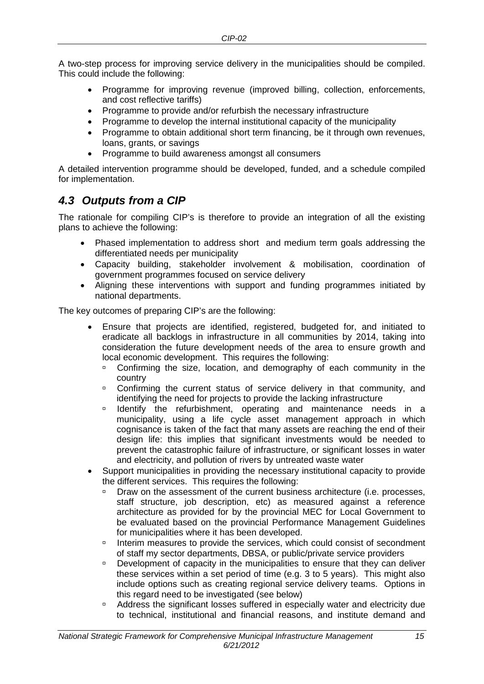A two-step process for improving service delivery in the municipalities should be compiled. This could include the following:

- Programme for improving revenue (improved billing, collection, enforcements, and cost reflective tariffs)
- Programme to provide and/or refurbish the necessary infrastructure
- Programme to develop the internal institutional capacity of the municipality
- Programme to obtain additional short term financing, be it through own revenues, loans, grants, or savings
- Programme to build awareness amongst all consumers

A detailed intervention programme should be developed, funded, and a schedule compiled for implementation.

## <span id="page-17-0"></span>*4.3 Outputs from a CIP*

The rationale for compiling CIP's is therefore to provide an integration of all the existing plans to achieve the following:

- Phased implementation to address short and medium term goals addressing the differentiated needs per municipality
- Capacity building, stakeholder involvement & mobilisation, coordination of government programmes focused on service delivery
- Aligning these interventions with support and funding programmes initiated by national departments.

The key outcomes of preparing CIP's are the following:

- Ensure that projects are identified, registered, budgeted for, and initiated to eradicate all backlogs in infrastructure in all communities by 2014, taking into consideration the future development needs of the area to ensure growth and local economic development. This requires the following:
	- Confirming the size, location, and demography of each community in the country
	- <sup>o</sup> Confirming the current status of service delivery in that community, and identifying the need for projects to provide the lacking infrastructure
	- Identify the refurbishment, operating and maintenance needs in a municipality, using a life cycle asset management approach in which cognisance is taken of the fact that many assets are reaching the end of their design life: this implies that significant investments would be needed to prevent the catastrophic failure of infrastructure, or significant losses in water and electricity, and pollution of rivers by untreated waste water
- Support municipalities in providing the necessary institutional capacity to provide the different services. This requires the following:
	- Draw on the assessment of the current business architecture (i.e. processes, staff structure, job description, etc) as measured against a reference architecture as provided for by the provincial MEC for Local Government to be evaluated based on the provincial Performance Management Guidelines for municipalities where it has been developed.
	- <sup>1</sup> Interim measures to provide the services, which could consist of secondment of staff my sector departments, DBSA, or public/private service providers
	- Development of capacity in the municipalities to ensure that they can deliver these services within a set period of time (e.g. 3 to 5 years). This might also include options such as creating regional service delivery teams. Options in this regard need to be investigated (see below)
	- Address the significant losses suffered in especially water and electricity due to technical, institutional and financial reasons, and institute demand and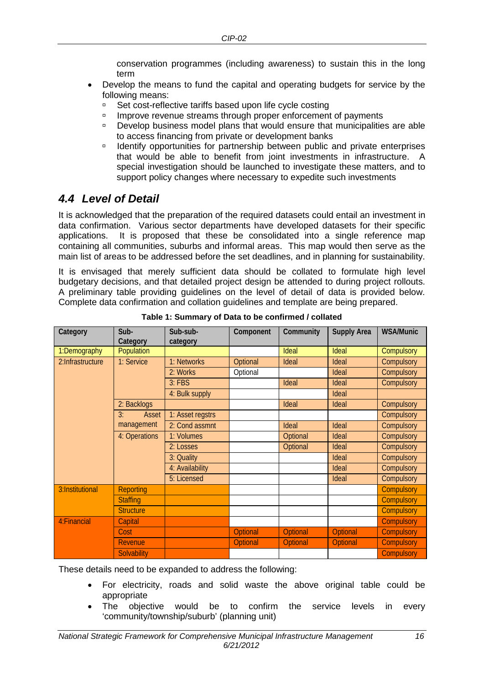conservation programmes (including awareness) to sustain this in the long term

- Develop the means to fund the capital and operating budgets for service by the following means:
	- □ Set cost-reflective tariffs based upon life cycle costing
	- **Improve revenue streams through proper enforcement of payments**
	- Develop business model plans that would ensure that municipalities are able to access financing from private or development banks
	- <sup>D</sup> Identify opportunities for partnership between public and private enterprises that would be able to benefit from joint investments in infrastructure. A special investigation should be launched to investigate these matters, and to support policy changes where necessary to expedite such investments

## <span id="page-18-0"></span>*4.4 Level of Detail*

It is acknowledged that the preparation of the required datasets could entail an investment in data confirmation. Various sector departments have developed datasets for their specific applications. It is proposed that these be consolidated into a single reference map containing all communities, suburbs and informal areas. This map would then serve as the main list of areas to be addressed before the set deadlines, and in planning for sustainability.

It is envisaged that merely sufficient data should be collated to formulate high level budgetary decisions, and that detailed project design be attended to during project rollouts. A preliminary table providing guidelines on the level of detail of data is provided below. Complete data confirmation and collation guidelines and template are being prepared.

| Category         | Sub-<br>Category             |                  | Component       | Community       | <b>Supply Area</b> | <b>WSA/Munic</b>  |  |
|------------------|------------------------------|------------------|-----------------|-----------------|--------------------|-------------------|--|
| 1:Demography     | Population                   |                  |                 | Ideal           | Ideal              | Compulsory        |  |
| 2:Infrastructure | 1: Service                   | 1: Networks      | Optional        | Ideal           | Ideal              | Compulsory        |  |
|                  |                              | 2: Works         | Optional        |                 | Ideal              | Compulsory        |  |
|                  |                              | $3:$ FBS         |                 | Ideal           | Ideal              | Compulsory        |  |
|                  |                              | 4: Bulk supply   |                 |                 | Ideal              |                   |  |
| 2: Backlogs      |                              |                  |                 | Ideal           | Ideal              | Compulsory        |  |
| 3:<br>Asset      |                              | 1: Asset regstrs |                 |                 |                    | Compulsory        |  |
|                  | management<br>2: Cond assmnt |                  |                 | Ideal           | Ideal              | Compulsory        |  |
| 4: Operations    |                              | 1: Volumes       |                 | Optional        | Ideal              | Compulsory        |  |
|                  |                              | 2: Losses        |                 | Optional        | Ideal              | Compulsory        |  |
|                  |                              | 3: Quality       |                 |                 | Ideal              | Compulsory        |  |
|                  |                              | 4: Availability  |                 |                 | Ideal              | Compulsory        |  |
| 5: Licensed      |                              |                  |                 | Ideal           | Compulsory         |                   |  |
| 3:Institutional  | <b>Reporting</b>             |                  |                 |                 |                    | <b>Compulsory</b> |  |
|                  | <b>Staffing</b>              |                  |                 |                 |                    | <b>Compulsory</b> |  |
|                  | <b>Structure</b>             |                  |                 |                 |                    | <b>Compulsory</b> |  |
| 4: Financial     | Capital                      |                  |                 |                 |                    | Compulsory        |  |
|                  | Cost                         |                  | <b>Optional</b> | <b>Optional</b> | <b>Optional</b>    | <b>Compulsory</b> |  |
|                  | <b>Revenue</b>               |                  | <b>Optional</b> | <b>Optional</b> | <b>Optional</b>    | <b>Compulsory</b> |  |
|                  | <b>Solvability</b>           |                  |                 |                 |                    | <b>Compulsory</b> |  |

**Table 1: Summary of Data to be confirmed / collated**

These details need to be expanded to address the following:

- For electricity, roads and solid waste the above original table could be appropriate
- The objective would be to confirm the service levels in every 'community/township/suburb' (planning unit)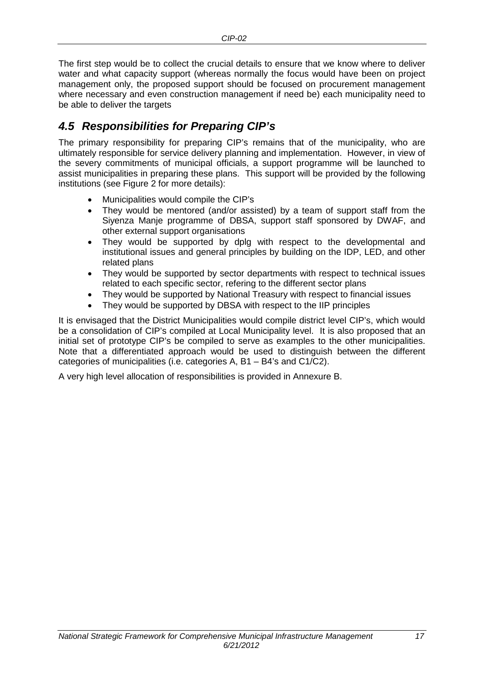The first step would be to collect the crucial details to ensure that we know where to deliver water and what capacity support (whereas normally the focus would have been on project management only, the proposed support should be focused on procurement management where necessary and even construction management if need be) each municipality need to be able to deliver the targets

## <span id="page-19-0"></span>*4.5 Responsibilities for Preparing CIP's*

The primary responsibility for preparing CIP's remains that of the municipality, who are ultimately responsible for service delivery planning and implementation. However, in view of the severy commitments of municipal officials, a support programme will be launched to assist municipalities in preparing these plans. This support will be provided by the following institutions (see [Figure 2](#page-20-0) for more details):

- Municipalities would compile the CIP's
- They would be mentored (and/or assisted) by a team of support staff from the Siyenza Manje programme of DBSA, support staff sponsored by DWAF, and other external support organisations
- They would be supported by dplg with respect to the developmental and institutional issues and general principles by building on the IDP, LED, and other related plans
- They would be supported by sector departments with respect to technical issues related to each specific sector, refering to the different sector plans
- They would be supported by National Treasury with respect to financial issues
- They would be supported by DBSA with respect to the IIP principles

It is envisaged that the District Municipalities would compile district level CIP's, which would be a consolidation of CIP's compiled at Local Municipality level. It is also proposed that an initial set of prototype CIP's be compiled to serve as examples to the other municipalities. Note that a differentiated approach would be used to distinguish between the different categories of municipalities (i.e. categories A, B1 – B4's and C1/C2).

A very high level allocation of responsibilities is provided in Annexure B.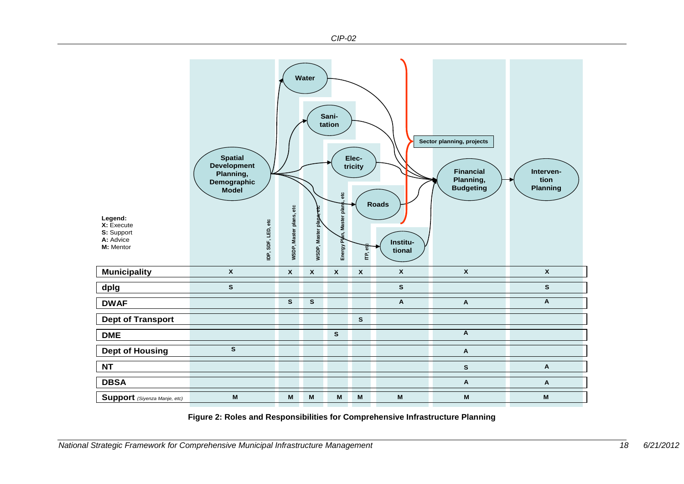

<span id="page-20-0"></span>**Figure 2: Roles and Responsibilities for Comprehensive Infrastructure Planning**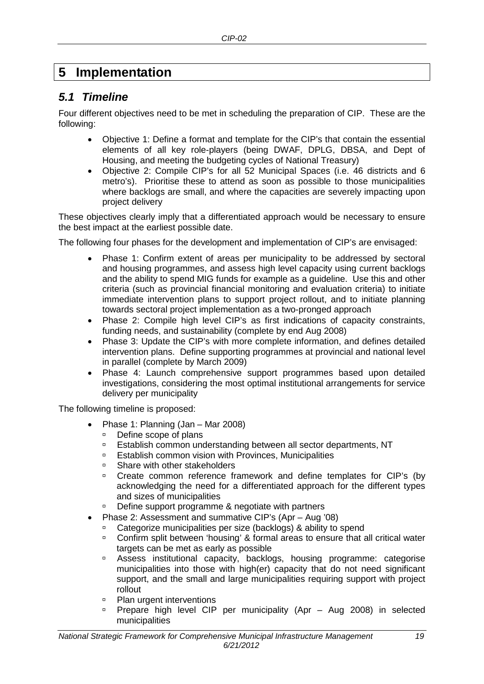## <span id="page-21-0"></span>**5 Implementation**

### <span id="page-21-1"></span>*5.1 Timeline*

Four different objectives need to be met in scheduling the preparation of CIP. These are the following:

- Objective 1: Define a format and template for the CIP's that contain the essential elements of all key role-players (being DWAF, DPLG, DBSA, and Dept of Housing, and meeting the budgeting cycles of National Treasury)
- Objective 2: Compile CIP's for all 52 Municipal Spaces (i.e. 46 districts and 6 metro's). Prioritise these to attend as soon as possible to those municipalities where backlogs are small, and where the capacities are severely impacting upon project delivery

These objectives clearly imply that a differentiated approach would be necessary to ensure the best impact at the earliest possible date.

The following four phases for the development and implementation of CIP's are envisaged:

- Phase 1: Confirm extent of areas per municipality to be addressed by sectoral and housing programmes, and assess high level capacity using current backlogs and the ability to spend MIG funds for example as a guideline. Use this and other criteria (such as provincial financial monitoring and evaluation criteria) to initiate immediate intervention plans to support project rollout, and to initiate planning towards sectoral project implementation as a two-pronged approach
- Phase 2: Compile high level CIP's as first indications of capacity constraints, funding needs, and sustainability (complete by end Aug 2008)
- Phase 3: Update the CIP's with more complete information, and defines detailed intervention plans. Define supporting programmes at provincial and national level in parallel (complete by March 2009)
- Phase 4: Launch comprehensive support programmes based upon detailed investigations, considering the most optimal institutional arrangements for service delivery per municipality

The following timeline is proposed:

- Phase 1: Planning (Jan Mar 2008)
	- □ Define scope of plans
	- Establish common understanding between all sector departments, NT
	- **Establish common vision with Provinces, Municipalities**
	- **Share with other stakeholders**<br>**E** Create common reference fr
	- Create common reference framework and define templates for CIP's (by acknowledging the need for a differentiated approach for the different types and sizes of municipalities
	- Define support programme & negotiate with partners
- Phase 2: Assessment and summative CIP's (Apr Aug '08)
	- □ Categorize municipalities per size (backlogs) & ability to spend<br>□ Confirm split between 'housing' & formal areas to ensure that a
	- Confirm split between 'housing' & formal areas to ensure that all critical water targets can be met as early as possible
	- Assess institutional capacity, backlogs, housing programme: categorise municipalities into those with high(er) capacity that do not need significant support, and the small and large municipalities requiring support with project rollout
	- Plan urgent interventions
	- **Prepare high level CIP per municipality (Apr Aug 2008) in selected** municipalities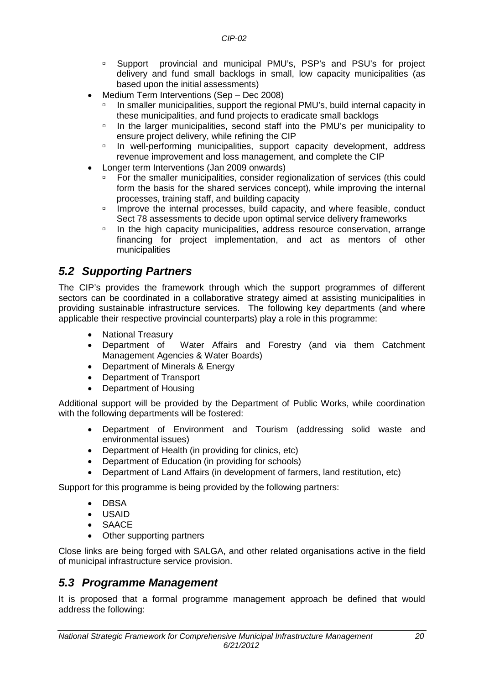- Support provincial and municipal PMU's, PSP's and PSU's for project delivery and fund small backlogs in small, low capacity municipalities (as based upon the initial assessments)
- Medium Term Interventions (Sep Dec 2008)
	- In smaller municipalities, support the regional PMU's, build internal capacity in these municipalities, and fund projects to eradicate small backlogs
	- In the larger municipalities, second staff into the PMU's per municipality to ensure project delivery, while refining the CIP
	- <sup>n</sup> In well-performing municipalities, support capacity development, address revenue improvement and loss management, and complete the CIP
- Longer term Interventions (Jan 2009 onwards)
	- For the smaller municipalities, consider regionalization of services (this could form the basis for the shared services concept), while improving the internal processes, training staff, and building capacity
	- Improve the internal processes, build capacity, and where feasible, conduct Sect 78 assessments to decide upon optimal service delivery frameworks
	- <sup>o</sup> In the high capacity municipalities, address resource conservation, arrange financing for project implementation, and act as mentors of other municipalities

### <span id="page-22-0"></span>*5.2 Supporting Partners*

The CIP's provides the framework through which the support programmes of different sectors can be coordinated in a collaborative strategy aimed at assisting municipalities in providing sustainable infrastructure services. The following key departments (and where applicable their respective provincial counterparts) play a role in this programme:

- National Treasury
- Department of Water Affairs and Forestry (and via them Catchment Management Agencies & Water Boards)
- Department of Minerals & Energy
- Department of Transport
- Department of Housing

Additional support will be provided by the Department of Public Works, while coordination with the following departments will be fostered:

- Department of Environment and Tourism (addressing solid waste and environmental issues)
- Department of Health (in providing for clinics, etc)
- Department of Education (in providing for schools)
- Department of Land Affairs (in development of farmers, land restitution, etc)

Support for this programme is being provided by the following partners:

- DBSA
- USAID
- **SAACE**
- Other supporting partners

Close links are being forged with SALGA, and other related organisations active in the field of municipal infrastructure service provision.

#### <span id="page-22-1"></span>*5.3 Programme Management*

It is proposed that a formal programme management approach be defined that would address the following: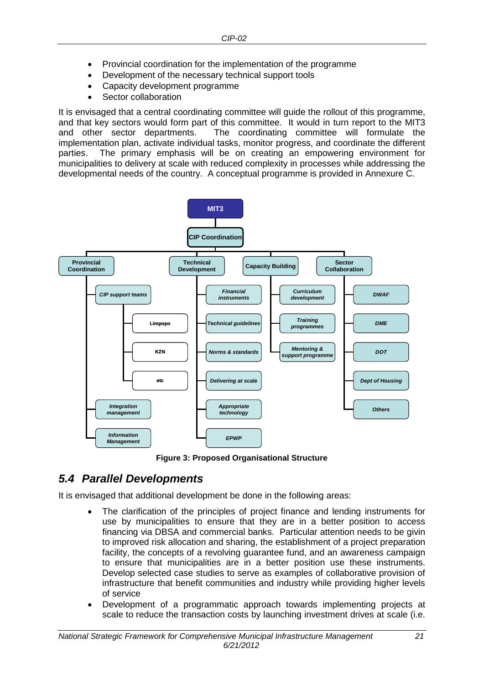- Provincial coordination for the implementation of the programme
- Development of the necessary technical support tools
- Capacity development programme
- Sector collaboration

It is envisaged that a central coordinating committee will guide the rollout of this programme, and that key sectors would form part of this committee. It would in turn report to the MIT3 and other sector departments. The coordinating committee will formulate the The coordinating committee will formulate the implementation plan, activate individual tasks, monitor progress, and coordinate the different parties. The primary emphasis will be on creating an empowering environment for municipalities to delivery at scale with reduced complexity in processes while addressing the developmental needs of the country. A conceptual programme is provided in Annexure C.



**Figure 3: Proposed Organisational Structure**

## <span id="page-23-0"></span>*5.4 Parallel Developments*

It is envisaged that additional development be done in the following areas:

- The clarification of the principles of project finance and lending instruments for use by municipalities to ensure that they are in a better position to access financing via DBSA and commercial banks. Particular attention needs to be givin to improved risk allocation and sharing, the establishment of a project preparation facility, the concepts of a revolving guarantee fund, and an awareness campaign to ensure that municipalities are in a better position use these instruments. Develop selected case studies to serve as examples of collaborative provision of infrastructure that benefit communities and industry while providing higher levels of service
- Development of a programmatic approach towards implementing projects at scale to reduce the transaction costs by launching investment drives at scale (i.e.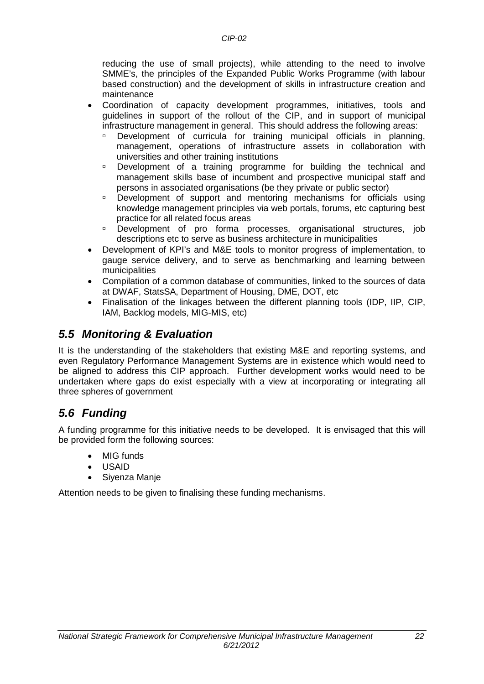reducing the use of small projects), while attending to the need to involve SMME's, the principles of the Expanded Public Works Programme (with labour based construction) and the development of skills in infrastructure creation and maintenance

- Coordination of capacity development programmes, initiatives, tools and guidelines in support of the rollout of the CIP, and in support of municipal infrastructure management in general. This should address the following areas:
	- Development of curricula for training municipal officials in planning, management, operations of infrastructure assets in collaboration with universities and other training institutions
	- Development of a training programme for building the technical and management skills base of incumbent and prospective municipal staff and persons in associated organisations (be they private or public sector)
	- Development of support and mentoring mechanisms for officials using knowledge management principles via web portals, forums, etc capturing best practice for all related focus areas
	- Development of pro forma processes, organisational structures, job descriptions etc to serve as business architecture in municipalities
- Development of KPI's and M&E tools to monitor progress of implementation, to gauge service delivery, and to serve as benchmarking and learning between municipalities
- Compilation of a common database of communities, linked to the sources of data at DWAF, StatsSA, Department of Housing, DME, DOT, etc
- Finalisation of the linkages between the different planning tools (IDP, IIP, CIP, IAM, Backlog models, MIG-MIS, etc)

## <span id="page-24-0"></span>*5.5 Monitoring & Evaluation*

It is the understanding of the stakeholders that existing M&E and reporting systems, and even Regulatory Performance Management Systems are in existence which would need to be aligned to address this CIP approach. Further development works would need to be undertaken where gaps do exist especially with a view at incorporating or integrating all three spheres of government

## <span id="page-24-1"></span>*5.6 Funding*

A funding programme for this initiative needs to be developed. It is envisaged that this will be provided form the following sources:

- **MIG** funds
- USAID
- Siyenza Manje

Attention needs to be given to finalising these funding mechanisms.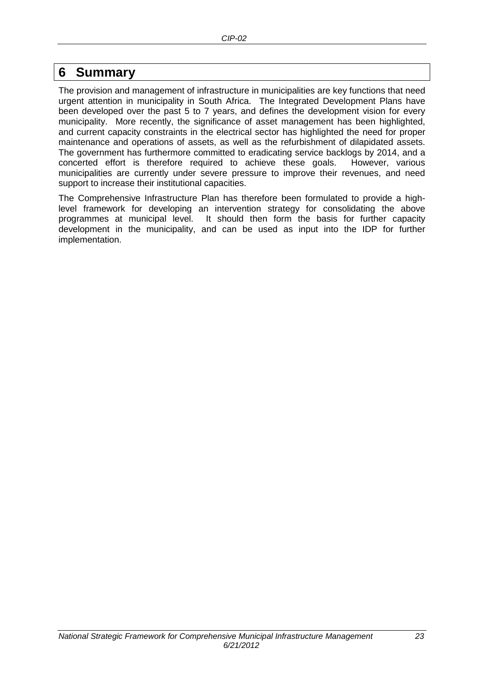## <span id="page-25-0"></span>**6 Summary**

The provision and management of infrastructure in municipalities are key functions that need urgent attention in municipality in South Africa. The Integrated Development Plans have been developed over the past 5 to 7 years, and defines the development vision for every municipality. More recently, the significance of asset management has been highlighted, and current capacity constraints in the electrical sector has highlighted the need for proper maintenance and operations of assets, as well as the refurbishment of dilapidated assets. The government has furthermore committed to eradicating service backlogs by 2014, and a concerted effort is therefore required to achieve these goals. However, various municipalities are currently under severe pressure to improve their revenues, and need support to increase their institutional capacities.

The Comprehensive Infrastructure Plan has therefore been formulated to provide a highlevel framework for developing an intervention strategy for consolidating the above programmes at municipal level. It should then form the basis for further capacity development in the municipality, and can be used as input into the IDP for further implementation.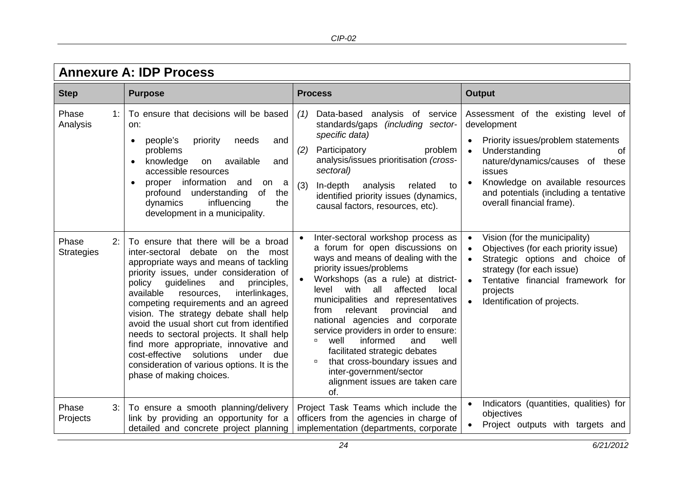<span id="page-26-0"></span>

| <b>Annexure A: IDP Process</b>   |                                                                                                                                                                                                                                                                                                                                                                                                                                                                                                                                                                                                       |                                                                                                                                                                                                                                                                                                                                                                                                                                                                                                                                                                                 |                                                                                                                                                                                                                                                                                     |  |  |  |  |  |  |  |  |  |
|----------------------------------|-------------------------------------------------------------------------------------------------------------------------------------------------------------------------------------------------------------------------------------------------------------------------------------------------------------------------------------------------------------------------------------------------------------------------------------------------------------------------------------------------------------------------------------------------------------------------------------------------------|---------------------------------------------------------------------------------------------------------------------------------------------------------------------------------------------------------------------------------------------------------------------------------------------------------------------------------------------------------------------------------------------------------------------------------------------------------------------------------------------------------------------------------------------------------------------------------|-------------------------------------------------------------------------------------------------------------------------------------------------------------------------------------------------------------------------------------------------------------------------------------|--|--|--|--|--|--|--|--|--|
| <b>Step</b>                      | <b>Purpose</b>                                                                                                                                                                                                                                                                                                                                                                                                                                                                                                                                                                                        | <b>Process</b>                                                                                                                                                                                                                                                                                                                                                                                                                                                                                                                                                                  | <b>Output</b>                                                                                                                                                                                                                                                                       |  |  |  |  |  |  |  |  |  |
| Phase<br>1:<br>Analysis          | To ensure that decisions will be based<br>on:<br>people's<br>priority<br>needs<br>and<br>$\bullet$<br>problems<br>available<br>knowledge<br>on<br>and<br>accessible resources<br>proper information<br>and<br>on<br>a<br>$\bullet$<br>of<br>understanding<br>the<br>profound<br>influencing<br>dynamics<br>the<br>development in a municipality.                                                                                                                                                                                                                                                      | Data-based analysis of service<br>(1)<br>standards/gaps (including sector-<br>specific data)<br>Participatory<br>problem<br>(2)<br>analysis/issues prioritisation (cross-<br>sectoral)<br>(3)<br>analysis<br>In-depth<br>related<br>to<br>identified priority issues (dynamics,<br>causal factors, resources, etc).                                                                                                                                                                                                                                                             | Assessment of the existing level of<br>development<br>Priority issues/problem statements<br>Understanding<br>0f<br>$\bullet$<br>nature/dynamics/causes of these<br>issues<br>Knowledge on available resources<br>and potentials (including a tentative<br>overall financial frame). |  |  |  |  |  |  |  |  |  |
| Phase<br>2:<br><b>Strategies</b> | To ensure that there will be a broad<br>inter-sectoral debate on the most<br>appropriate ways and means of tackling<br>priority issues, under consideration of<br>guidelines<br>and<br>principles,<br>policy<br>available<br>interlinkages,<br>resources,<br>competing requirements and an agreed<br>vision. The strategy debate shall help<br>avoid the usual short cut from identified<br>needs to sectoral projects. It shall help<br>find more appropriate, innovative and<br>cost-effective solutions<br>due<br>under<br>consideration of various options. It is the<br>phase of making choices. | Inter-sectoral workshop process as<br>a forum for open discussions on<br>ways and means of dealing with the<br>priority issues/problems<br>Workshops (as a rule) at district-<br>with<br>all<br>affected<br>level<br>local<br>municipalities and representatives<br>relevant<br>provincial<br>from<br>and<br>national agencies and corporate<br>service providers in order to ensure:<br>informed<br>well<br>and<br>well<br>α<br>facilitated strategic debates<br>that cross-boundary issues and<br>$\Box$<br>inter-government/sector<br>alignment issues are taken care<br>of. | Vision (for the municipality)<br>Objectives (for each priority issue)<br>Strategic options and choice of<br>$\bullet$<br>strategy (for each issue)<br>Tentative financial framework for<br>projects<br>Identification of projects.                                                  |  |  |  |  |  |  |  |  |  |
| Phase<br>3:<br>Projects          | To ensure a smooth planning/delivery<br>link by providing an opportunity for a<br>detailed and concrete project planning                                                                                                                                                                                                                                                                                                                                                                                                                                                                              | Project Task Teams which include the<br>officers from the agencies in charge of<br>implementation (departments, corporate                                                                                                                                                                                                                                                                                                                                                                                                                                                       | Indicators (quantities, qualities) for<br>$\bullet$<br>objectives<br>Project outputs with targets and                                                                                                                                                                               |  |  |  |  |  |  |  |  |  |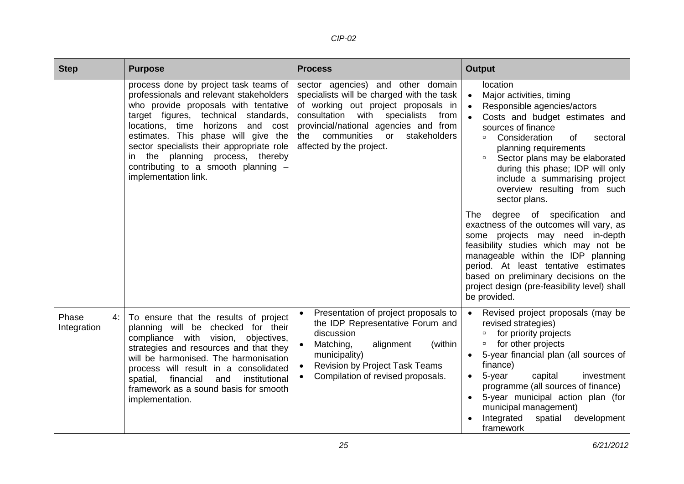| <b>Step</b>                | <b>Purpose</b>                                                                                                                                                                                                                                                                                                                                                                                     | <b>Process</b>                                                                                                                                                                                                                                                                        | <b>Output</b>                                                                                                                                                                                                                                                                                                                                                                                                                                                                                                                                                                                                                                                                                                                                              |  |  |  |  |  |
|----------------------------|----------------------------------------------------------------------------------------------------------------------------------------------------------------------------------------------------------------------------------------------------------------------------------------------------------------------------------------------------------------------------------------------------|---------------------------------------------------------------------------------------------------------------------------------------------------------------------------------------------------------------------------------------------------------------------------------------|------------------------------------------------------------------------------------------------------------------------------------------------------------------------------------------------------------------------------------------------------------------------------------------------------------------------------------------------------------------------------------------------------------------------------------------------------------------------------------------------------------------------------------------------------------------------------------------------------------------------------------------------------------------------------------------------------------------------------------------------------------|--|--|--|--|--|
|                            | process done by project task teams of<br>professionals and relevant stakeholders<br>who provide proposals with tentative<br>target figures, technical<br>standards,<br>locations, time horizons<br>and cost<br>estimates. This phase will give the<br>sector specialists their appropriate role<br>in the planning process, thereby<br>contributing to a smooth planning -<br>implementation link. | sector agencies) and other domain<br>specialists will be charged with the task<br>of working out project proposals in<br>consultation<br>with<br>specialists<br>from<br>provincial/national agencies and from<br>communities<br>or<br>stakeholders<br>the<br>affected by the project. | location<br>Major activities, timing<br>$\bullet$<br>Responsible agencies/actors<br>$\bullet$<br>Costs and budget estimates and<br>sources of finance<br>Consideration<br>of<br>sectoral<br>$\Box$<br>planning requirements<br>Sector plans may be elaborated<br>$\Box$<br>during this phase; IDP will only<br>include a summarising project<br>overview resulting from such<br>sector plans.<br><b>The</b><br>degree of specification<br>and<br>exactness of the outcomes will vary, as<br>some projects may need in-depth<br>feasibility studies which may not be<br>manageable within the IDP planning<br>period. At least tentative estimates<br>based on preliminary decisions on the<br>project design (pre-feasibility level) shall<br>be provided. |  |  |  |  |  |
| Phase<br>4:<br>Integration | To ensure that the results of project<br>planning will be checked for their<br>compliance with vision,<br>objectives,<br>strategies and resources and that they<br>will be harmonised. The harmonisation<br>process will result in a consolidated<br>financial<br>and<br>institutional<br>spatial,<br>framework as a sound basis for smooth<br>implementation.                                     | Presentation of project proposals to<br>$\bullet$<br>the IDP Representative Forum and<br>discussion<br>Matching,<br>alignment<br>(within<br>$\bullet$<br>municipality)<br><b>Revision by Project Task Teams</b><br>$\bullet$<br>Compilation of revised proposals.<br>$\bullet$        | Revised project proposals (may be<br>revised strategies)<br>for priority projects<br>$\Box$<br>for other projects<br>$\Box$<br>5-year financial plan (all sources of<br>$\bullet$<br>finance)<br>5-year<br>capital<br>investment<br>$\bullet$<br>programme (all sources of finance)<br>5-year municipal action plan (for<br>$\bullet$<br>municipal management)<br>development<br>Integrated<br>spatial<br>framework                                                                                                                                                                                                                                                                                                                                        |  |  |  |  |  |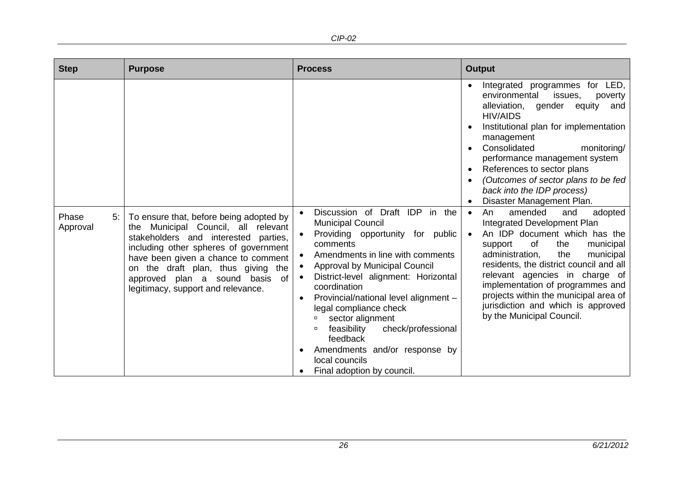*CIP-02*

| <b>Step</b>             | <b>Purpose</b>                                                                                                                                                                                                                                                                                                             | <b>Process</b>                                                                                                                                                                                                                                                                                                                                                                                                                                                                                                                                 | <b>Output</b>                                                                                                                                                                                                                                                                                                                                                                                                                                                                                                                                                                                                                                                                                                                                                                                                              |
|-------------------------|----------------------------------------------------------------------------------------------------------------------------------------------------------------------------------------------------------------------------------------------------------------------------------------------------------------------------|------------------------------------------------------------------------------------------------------------------------------------------------------------------------------------------------------------------------------------------------------------------------------------------------------------------------------------------------------------------------------------------------------------------------------------------------------------------------------------------------------------------------------------------------|----------------------------------------------------------------------------------------------------------------------------------------------------------------------------------------------------------------------------------------------------------------------------------------------------------------------------------------------------------------------------------------------------------------------------------------------------------------------------------------------------------------------------------------------------------------------------------------------------------------------------------------------------------------------------------------------------------------------------------------------------------------------------------------------------------------------------|
| Phase<br>5:<br>Approval | To ensure that, before being adopted by<br>Municipal Council, all relevant<br>the<br>stakeholders and interested<br>parties,<br>including other spheres of government<br>have been given a chance to comment<br>on the draft plan, thus giving the<br>approved plan a sound basis of<br>legitimacy, support and relevance. | Discussion of Draft IDP in the<br>$\bullet$<br><b>Municipal Council</b><br>Providing opportunity for public<br>$\bullet$<br>comments<br>Amendments in line with comments<br>$\bullet$<br>Approval by Municipal Council<br>$\bullet$<br>District-level alignment: Horizontal<br>$\bullet$<br>coordination<br>Provincial/national level alignment -<br>$\bullet$<br>legal compliance check<br>sector alignment<br>feasibility<br>check/professional<br>feedback<br>Amendments and/or response by<br>local councils<br>Final adoption by council. | Integrated programmes for LED,<br>environmental<br>issues,<br>poverty<br>alleviation, gender equity<br>and<br><b>HIV/AIDS</b><br>Institutional plan for implementation<br>management<br>Consolidated<br>monitoring/<br>performance management system<br>References to sector plans<br>(Outcomes of sector plans to be fed<br>back into the IDP process)<br>Disaster Management Plan.<br>amended<br>An<br>and<br>adopted<br>$\bullet$<br>Integrated Development Plan<br>An IDP document which has the<br>$\bullet$<br>of<br>the<br>support<br>municipal<br>the<br>administration,<br>municipal<br>residents, the district council and all<br>relevant agencies in charge of<br>implementation of programmes and<br>projects within the municipal area of<br>jurisdiction and which is approved<br>by the Municipal Council. |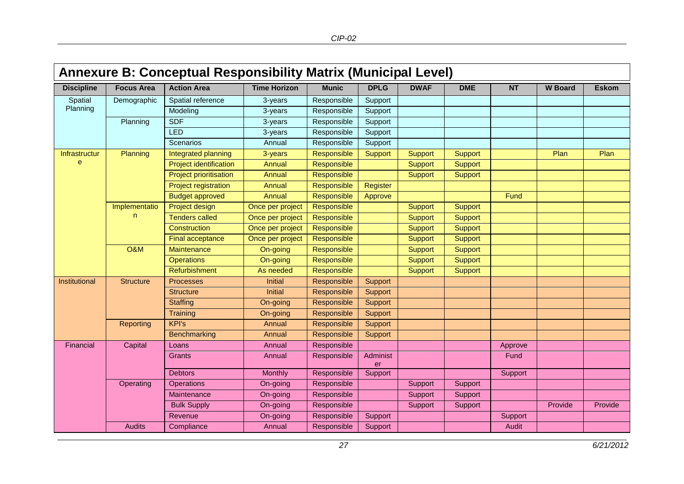<span id="page-29-0"></span>

|                   | <b>Annexure B: Conceptual Responsibility Matrix (Municipal Level)</b> |                               |                     |              |                |                |                |           |                |              |  |  |  |  |
|-------------------|-----------------------------------------------------------------------|-------------------------------|---------------------|--------------|----------------|----------------|----------------|-----------|----------------|--------------|--|--|--|--|
| <b>Discipline</b> | <b>Focus Area</b>                                                     | <b>Action Area</b>            | <b>Time Horizon</b> | <b>Munic</b> | <b>DPLG</b>    | <b>DWAF</b>    | <b>DME</b>     | <b>NT</b> | <b>W</b> Board | <b>Eskom</b> |  |  |  |  |
| Spatial           | Demographic                                                           | Spatial reference             | 3-years             | Responsible  | Support        |                |                |           |                |              |  |  |  |  |
| Planning          |                                                                       | Modeling                      | 3-years             | Responsible  | Support        |                |                |           |                |              |  |  |  |  |
|                   | Planning                                                              | <b>SDF</b>                    | 3-years             | Responsible  | Support        |                |                |           |                |              |  |  |  |  |
|                   |                                                                       | <b>LED</b>                    | 3-years             | Responsible  | Support        |                |                |           |                |              |  |  |  |  |
|                   |                                                                       | Scenarios                     | Annual              | Responsible  | Support        |                |                |           |                |              |  |  |  |  |
| Infrastructur     | Planning                                                              | Integrated planning           | 3-years             | Responsible  | <b>Support</b> | <b>Support</b> | <b>Support</b> |           | Plan           | Plan         |  |  |  |  |
| $\mathbf{e}$      |                                                                       | <b>Project identification</b> | Annual              | Responsible  |                | Support        | <b>Support</b> |           |                |              |  |  |  |  |
|                   |                                                                       | <b>Project prioritisation</b> | <b>Annual</b>       | Responsible  |                | <b>Support</b> | <b>Support</b> |           |                |              |  |  |  |  |
|                   |                                                                       | <b>Project registration</b>   | <b>Annual</b>       | Responsible  | Register       |                |                |           |                |              |  |  |  |  |
|                   |                                                                       | <b>Budget approved</b>        | Annual              | Responsible  | Approve        |                |                | Fund      |                |              |  |  |  |  |
|                   | Implementatio<br>n.                                                   | Project design                | Once per project    | Responsible  |                | <b>Support</b> | <b>Support</b> |           |                |              |  |  |  |  |
|                   |                                                                       | <b>Tenders called</b>         | Once per project    | Responsible  |                | <b>Support</b> | <b>Support</b> |           |                |              |  |  |  |  |
|                   |                                                                       | Construction                  | Once per project    | Responsible  |                | <b>Support</b> | <b>Support</b> |           |                |              |  |  |  |  |
|                   |                                                                       | Final acceptance              | Once per project    | Responsible  |                | <b>Support</b> | <b>Support</b> |           |                |              |  |  |  |  |
|                   | <b>O&amp;M</b>                                                        | Maintenance                   | On-going            | Responsible  |                | <b>Support</b> | <b>Support</b> |           |                |              |  |  |  |  |
|                   |                                                                       | <b>Operations</b>             | On-going            | Responsible  |                | Support        | <b>Support</b> |           |                |              |  |  |  |  |
|                   |                                                                       | Refurbishment                 | As needed           | Responsible  |                | Support        | <b>Support</b> |           |                |              |  |  |  |  |
| Institutional     | <b>Structure</b>                                                      | <b>Processes</b>              | <b>Initial</b>      | Responsible  | Support        |                |                |           |                |              |  |  |  |  |
|                   |                                                                       | <b>Structure</b>              | <b>Initial</b>      | Responsible  | Support        |                |                |           |                |              |  |  |  |  |
|                   |                                                                       | <b>Staffing</b>               | On-going            | Responsible  | Support        |                |                |           |                |              |  |  |  |  |
|                   |                                                                       | Training                      | On-going            | Responsible  | Support        |                |                |           |                |              |  |  |  |  |
|                   | Reporting                                                             | <b>KPI's</b>                  | Annual              | Responsible  | Support        |                |                |           |                |              |  |  |  |  |
|                   |                                                                       | Benchmarking                  | Annual              | Responsible  | Support        |                |                |           |                |              |  |  |  |  |
| Financial         | Capital                                                               | Loans                         | Annual              | Responsible  |                |                |                | Approve   |                |              |  |  |  |  |
|                   |                                                                       | Grants                        | Annual              | Responsible  | Administ<br>er |                |                | Fund      |                |              |  |  |  |  |
|                   |                                                                       | <b>Debtors</b>                | Monthly             | Responsible  | Support        |                |                | Support   |                |              |  |  |  |  |
|                   | Operating                                                             | <b>Operations</b>             | On-going            | Responsible  |                | Support        | Support        |           |                |              |  |  |  |  |
|                   |                                                                       | Maintenance                   | On-going            | Responsible  |                | Support        | Support        |           |                |              |  |  |  |  |
|                   |                                                                       | <b>Bulk Supply</b>            | On-going            | Responsible  |                | Support        | Support        |           | Provide        | Provide      |  |  |  |  |
|                   |                                                                       | Revenue                       | On-going            | Responsible  | Support        |                |                | Support   |                |              |  |  |  |  |
|                   | <b>Audits</b>                                                         | Compliance                    | Annual              | Responsible  | Support        |                |                | Audit     |                |              |  |  |  |  |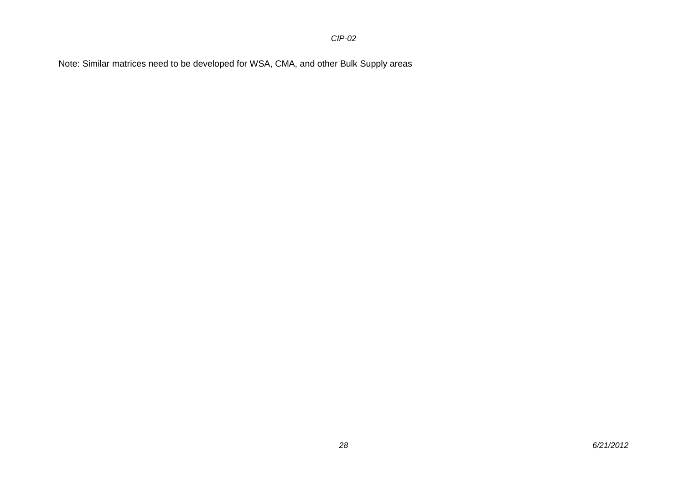Note: Similar matrices need to be developed for WSA, CMA, and other Bulk Supply areas